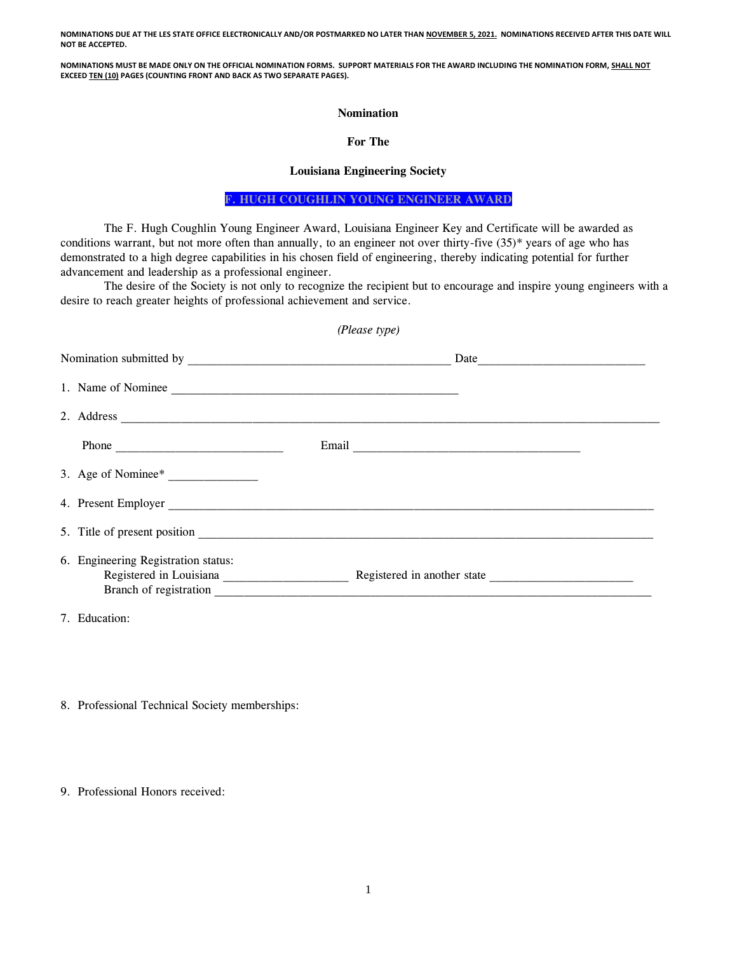**NOMINATIONS DUE AT THE LES STATE OFFICE ELECTRONICALLY AND/OR POSTMARKED NO LATER THAN NOVEMBER 5, 2021. NOMINATIONS RECEIVED AFTER THIS DATE WILL NOT BE ACCEPTED.**

**NOMINATIONS MUST BE MADE ONLY ON THE OFFICIAL NOMINATION FORMS. SUPPORT MATERIALS FOR THE AWARD INCLUDING THE NOMINATION FORM, SHALL NOT EXCEED TEN (10) PAGES (COUNTING FRONT AND BACK AS TWO SEPARATE PAGES).**

## **Nomination**

## **For The**

## **Louisiana Engineering Society**

**F. HUGH COUGHLIN YOUNG ENGINEER AWARD**

The F. Hugh Coughlin Young Engineer Award, Louisiana Engineer Key and Certificate will be awarded as conditions warrant, but not more often than annually, to an engineer not over thirty-five (35)\* years of age who has demonstrated to a high degree capabilities in his chosen field of engineering, thereby indicating potential for further advancement and leadership as a professional engineer.

The desire of the Society is not only to recognize the recipient but to encourage and inspire young engineers with a desire to reach greater heights of professional achievement and service.

| (Please type) |                                                               |                                                     |  |
|---------------|---------------------------------------------------------------|-----------------------------------------------------|--|
|               |                                                               |                                                     |  |
|               | 1. Name of Nominee                                            |                                                     |  |
|               |                                                               |                                                     |  |
|               |                                                               |                                                     |  |
|               | 3. Age of Nominee*                                            |                                                     |  |
|               | 4. Present Employer                                           |                                                     |  |
|               |                                                               |                                                     |  |
|               | 6. Engineering Registration status:<br>Branch of registration | Registered in Louisiana Registered in another state |  |

7. Education:

- 8. Professional Technical Society memberships:
- 9. Professional Honors received: